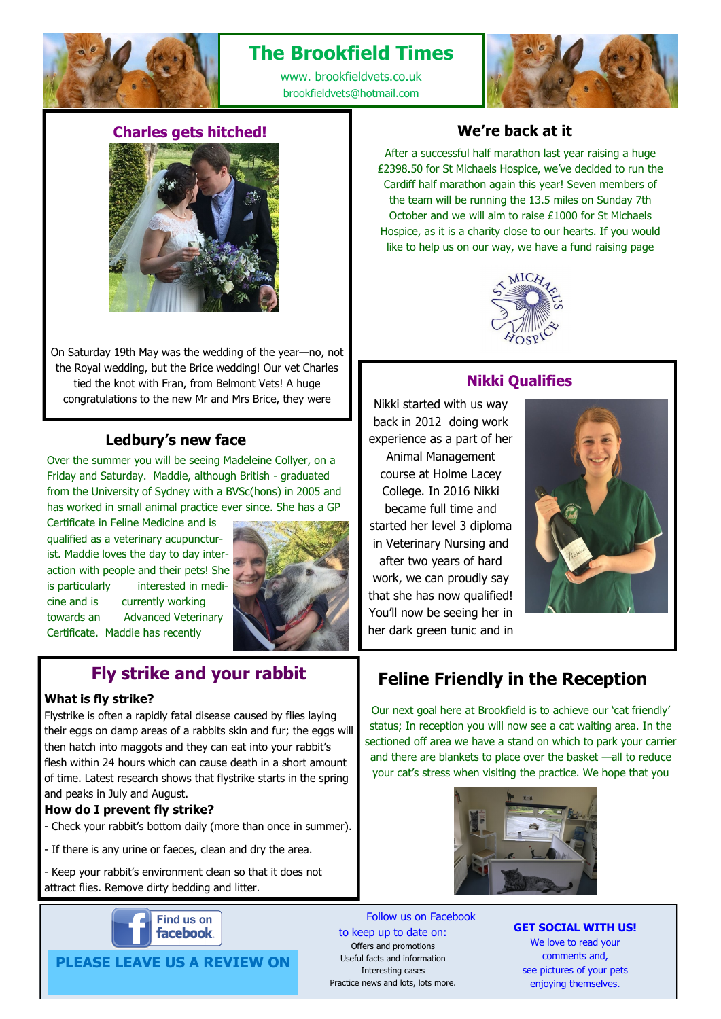

# **The Brookfield Times**

www. brookfieldvets.co.uk brookfieldvets@hotmail.com



### **Charles gets hitched! We're back at it**



On Saturday 19th May was the wedding of the year—no, not the Royal wedding, but the Brice wedding! Our vet Charles tied the knot with Fran, from Belmont Vets! A huge congratulations to the new Mr and Mrs Brice, they were

### **Ledbury's new face**

Over the summer you will be seeing Madeleine Collyer, on a Friday and Saturday. Maddie, although British - graduated from the University of Sydney with a BVSc(hons) in 2005 and has worked in small animal practice ever since. She has a GP

Certificate in Feline Medicine and is qualified as a veterinary acupuncturist. Maddie loves the day to day interaction with people and their pets! She is particularly interested in medicine and is currently working towards an Advanced Veterinary Certificate. Maddie has recently



After a successful half marathon last year raising a huge £2398.50 for St Michaels Hospice, we've decided to run the Cardiff half marathon again this year! Seven members of the team will be running the 13.5 miles on Sunday 7th October and we will aim to raise £1000 for St Michaels Hospice, as it is a charity close to our hearts. If you would like to help us on our way, we have a fund raising page



#### **Nikki Qualifies**

Nikki started with us way back in 2012 doing work experience as a part of her Animal Management course at Holme Lacey College. In 2016 Nikki became full time and started her level 3 diploma in Veterinary Nursing and after two years of hard work, we can proudly say that she has now qualified! You'll now be seeing her in her dark green tunic and in



## **Fly strike and your rabbit**

#### **What is fly strike?**

Flystrike is often a rapidly fatal disease caused by flies laying their eggs on damp areas of a rabbits skin and fur; the eggs will then hatch into maggots and they can eat into your rabbit's flesh within 24 hours which can cause death in a short amount of time. Latest research shows that flystrike starts in the spring and peaks in July and August.

#### **How do I prevent fly strike?**

- Check your rabbit's bottom daily (more than once in summer).
- If there is any urine or faeces, clean and dry the area.

- Keep your rabbit's environment clean so that it does not attract flies. Remove dirty bedding and litter.



Follow us on Facebook to keep up to date on: Offers and promotions Useful facts and information Interesting cases Practice news and lots, lots more.

# **Feline Friendly in the Reception**

Our next goal here at Brookfield is to achieve our 'cat friendly' status; In reception you will now see a cat waiting area. In the sectioned off area we have a stand on which to park your carrier and there are blankets to place over the basket —all to reduce your cat's stress when visiting the practice. We hope that you



**GET SOCIAL WITH US!**

We love to read your comments and, see pictures of your pets enjoying themselves.